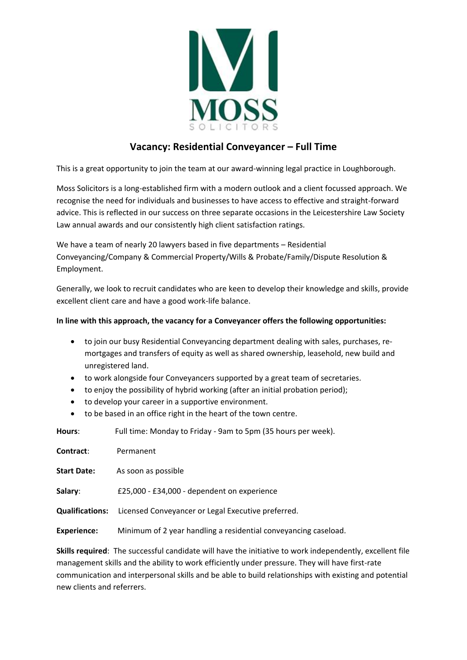

## **Vacancy: Residential Conveyancer – Full Time**

This is a great opportunity to join the team at our award-winning legal practice in Loughborough.

Moss Solicitors is a long-established firm with a modern outlook and a client focussed approach. We recognise the need for individuals and businesses to have access to effective and straight-forward advice. This is reflected in our success on three separate occasions in the Leicestershire Law Society Law annual awards and our consistently high client satisfaction ratings.

We have a team of nearly 20 lawyers based in five departments – Residential Conveyancing/Company & Commercial Property/Wills & Probate/Family/Dispute Resolution & Employment.

Generally, we look to recruit candidates who are keen to develop their knowledge and skills, provide excellent client care and have a good work-life balance.

## **In line with this approach, the vacancy for a Conveyancer offers the following opportunities:**

- to join our busy Residential Conveyancing department dealing with sales, purchases, remortgages and transfers of equity as well as shared ownership, leasehold, new build and unregistered land.
- to work alongside four Conveyancers supported by a great team of secretaries.
- to enjoy the possibility of hybrid working (after an initial probation period);
- to develop your career in a supportive environment.
- to be based in an office right in the heart of the town centre.

**Hours**: Full time: Monday to Friday - 9am to 5pm (35 hours per week).

| <b>Contract:</b>   | Permanent                                                                 |
|--------------------|---------------------------------------------------------------------------|
| <b>Start Date:</b> | As soon as possible                                                       |
| Salary:            | £25,000 - £34,000 - dependent on experience                               |
|                    | <b>Qualifications:</b> Licensed Conveyancer or Legal Executive preferred. |
| <b>Experience:</b> | Minimum of 2 year handling a residential conveyancing caseload.           |

**Skills required**: The successful candidate will have the initiative to work independently, excellent file management skills and the ability to work efficiently under pressure. They will have first-rate communication and interpersonal skills and be able to build relationships with existing and potential new clients and referrers.